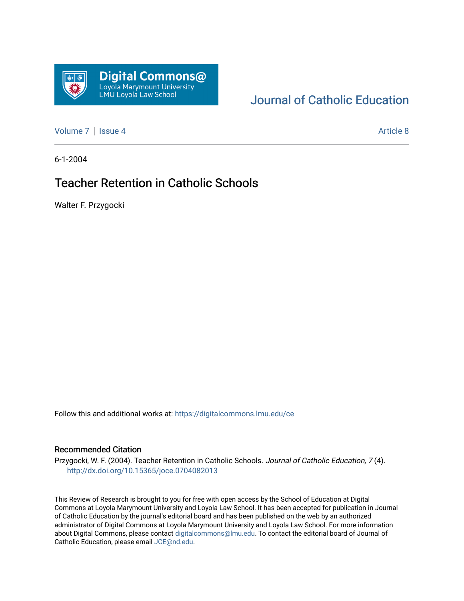

# [Journal of Catholic Education](https://digitalcommons.lmu.edu/ce)

[Volume 7](https://digitalcommons.lmu.edu/ce/vol7) | [Issue 4](https://digitalcommons.lmu.edu/ce/vol7/iss4) Article 8

6-1-2004

# Teacher Retention in Catholic Schools

Walter F. Przygocki

Follow this and additional works at: [https://digitalcommons.lmu.edu/ce](https://digitalcommons.lmu.edu/ce?utm_source=digitalcommons.lmu.edu%2Fce%2Fvol7%2Fiss4%2F8&utm_medium=PDF&utm_campaign=PDFCoverPages)

#### Recommended Citation

Przygocki, W. F. (2004). Teacher Retention in Catholic Schools. Journal of Catholic Education, 7 (4). <http://dx.doi.org/10.15365/joce.0704082013>

This Review of Research is brought to you for free with open access by the School of Education at Digital Commons at Loyola Marymount University and Loyola Law School. It has been accepted for publication in Journal of Catholic Education by the journal's editorial board and has been published on the web by an authorized administrator of Digital Commons at Loyola Marymount University and Loyola Law School. For more information about Digital Commons, please contact [digitalcommons@lmu.edu](mailto:digitalcommons@lmu.edu). To contact the editorial board of Journal of Catholic Education, please email [JCE@nd.edu.](mailto:JCE@nd.edu)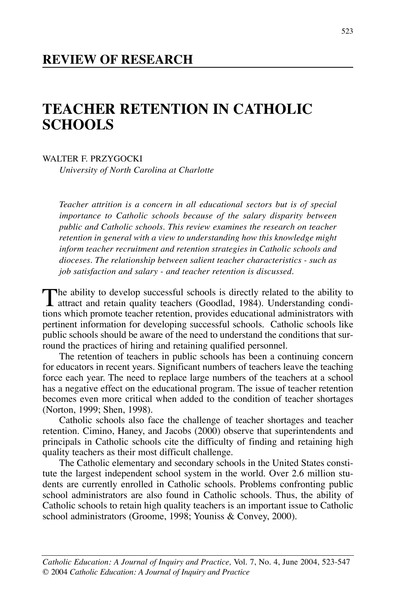#### **REVIEW OF RESEARCH**

# **TEACHER RETENTION IN CATHOLIC SCHOOLS**

WALTER F. PRZYGOCKI

*University of North Carolina at Charlotte*

*Teacher attrition is a concern in all educational sectors but is of special importance to Catholic schools because of the salary disparity between public and Catholic schools. This review examines the research on teacher retention in general with a view to understanding how this knowledge might inform teacher recruitment and retention strategies in Catholic schools and dioceses. The relationship between salient teacher characteristics - such as job satisfaction and salary - and teacher retention is discussed.*

The ability to develop successful schools is directly related to the ability to attract and retain quality to change of  $\alpha$ attract and retain quality teachers (Goodlad, 1984). Understanding conditions which promote teacher retention, provides educational administrators with pertinent information for developing successful schools. Catholic schools like public schools should be aware of the need to understand the conditions that surround the practices of hiring and retaining qualified personnel.

The retention of teachers in public schools has been a continuing concern for educators in recent years. Significant numbers of teachers leave the teaching force each year. The need to replace large numbers of the teachers at a school has a negative effect on the educational program. The issue of teacher retention becomes even more critical when added to the condition of teacher shortages (Norton, 1999; Shen, 1998).

Catholic schools also face the challenge of teacher shortages and teacher retention. Cimino, Haney, and Jacobs (2000) observe that superintendents and principals in Catholic schools cite the difficulty of finding and retaining high quality teachers as their most difficult challenge.

The Catholic elementary and secondary schools in the United States constitute the largest independent school system in the world. Over 2.6 million students are currently enrolled in Catholic schools. Problems confronting public school administrators are also found in Catholic schools. Thus, the ability of Catholic schools to retain high quality teachers is an important issue to Catholic school administrators (Groome, 1998; Youniss & Convey, 2000).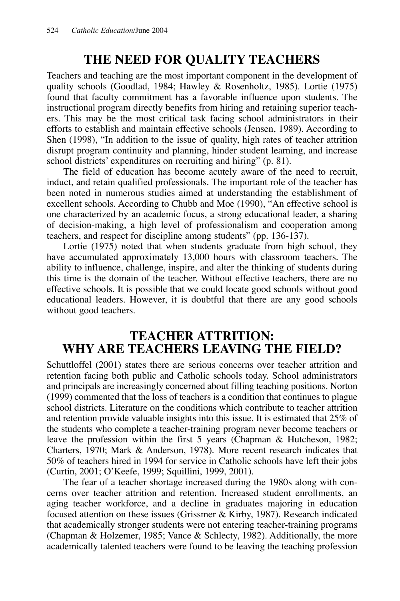# **THE NEED FOR QUALITY TEACHERS**

Teachers and teaching are the most important component in the development of quality schools (Goodlad, 1984; Hawley & Rosenholtz, 1985). Lortie (1975) found that faculty commitment has a favorable influence upon students. The instructional program directly benefits from hiring and retaining superior teachers. This may be the most critical task facing school administrators in their efforts to establish and maintain effective schools (Jensen, 1989). According to Shen (1998), "In addition to the issue of quality, high rates of teacher attrition disrupt program continuity and planning, hinder student learning, and increase school districts' expenditures on recruiting and hiring" (p. 81).

The field of education has become acutely aware of the need to recruit, induct, and retain qualified professionals. The important role of the teacher has been noted in numerous studies aimed at understanding the establishment of excellent schools. According to Chubb and Moe (1990), "An effective school is one characterized by an academic focus, a strong educational leader, a sharing of decision-making, a high level of professionalism and cooperation among teachers, and respect for discipline among students" (pp. 136-137).

Lortie (1975) noted that when students graduate from high school, they have accumulated approximately 13,000 hours with classroom teachers. The ability to influence, challenge, inspire, and alter the thinking of students during this time is the domain of the teacher. Without effective teachers, there are no effective schools. It is possible that we could locate good schools without good educational leaders. However, it is doubtful that there are any good schools without good teachers.

#### **TEACHER ATTRITION: WHY ARE TEACHERS LEAVING THE FIELD?**

Schuttloffel (2001) states there are serious concerns over teacher attrition and retention facing both public and Catholic schools today. School administrators and principals are increasingly concerned about filling teaching positions. Norton (1999) commented that the loss of teachers is a condition that continues to plague school districts. Literature on the conditions which contribute to teacher attrition and retention provide valuable insights into this issue. It is estimated that 25% of the students who complete a teacher-training program never become teachers or leave the profession within the first 5 years (Chapman & Hutcheson, 1982; Charters, 1970; Mark & Anderson, 1978). More recent research indicates that 50% of teachers hired in 1994 for service in Catholic schools have left their jobs (Curtin, 2001; O'Keefe, 1999; Squillini, 1999, 2001).

The fear of a teacher shortage increased during the 1980s along with concerns over teacher attrition and retention. Increased student enrollments, an aging teacher workforce, and a decline in graduates majoring in education focused attention on these issues (Grissmer & Kirby, 1987). Research indicated that academically stronger students were not entering teacher-training programs (Chapman & Holzemer, 1985; Vance & Schlecty, 1982). Additionally, the more academically talented teachers were found to be leaving the teaching profession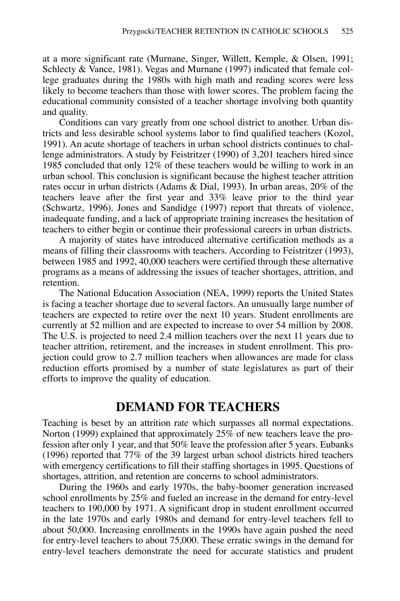at a more significant rate (Murnane, Singer, Willett, Kemple, & Olsen, 1991; Schlecty & Vance, 1981). Vegas and Murnane (1997) indicated that female college graduates during the 1980s with high math and reading scores were less likely to become teachers than those with lower scores. The problem facing the educational community consisted of a teacher shortage involving both quantity and quality.

Conditions can vary greatly from one school district to another. Urban districts and less desirable school systems labor to find qualified teachers (Kozol, 1991). An acute shortage of teachers in urban school districts continues to challenge administrators. A study by Feistritzer (1990) of 3,201 teachers hired since 1985 concluded that only 12% of these teachers would be willing to work in an urban school. This conclusion is significant because the highest teacher attrition rates occur in urban districts (Adams & Dial, 1993). In urban areas, 20% of the teachers leave after the first year and 33% leave prior to the third year (Schwartz, 1996). Jones and Sandidge (1997) report that threats of violence, inadequate funding, and a lack of appropriate training increases the hesitation of teachers to either begin or continue their professional careers in urban districts.

A majority of states have introduced alternative certification methods as a means of filling their classrooms with teachers. According to Feistritzer (1993), between 1985 and 1992, 40,000 teachers were certified through these alternative programs as a means of addressing the issues of teacher shortages, attrition, and retention.

The National Education Association (NEA, 1999) reports the United States is facing a teacher shortage due to several factors. An unusually large number of teachers are expected to retire over the next 10 years. Student enrollments are currently at 52 million and are expected to increase to over 54 million by 2008. The U.S. is projected to need 2.4 million teachers over the next 11 years due to teacher attrition, retirement, and the increases in student enrollment. This projection could grow to 2.7 million teachers when allowances are made for class reduction efforts promised by a number of state legislatures as part of their efforts to improve the quality of education.

#### **DEMAND FOR TEACHERS**

Teaching is beset by an attrition rate which surpasses all normal expectations. Norton (1999) explained that approximately 25% of new teachers leave the profession after only 1 year, and that 50% leave the profession after 5 years. Eubanks (1996) reported that 77% of the 39 largest urban school districts hired teachers with emergency certifications to fill their staffing shortages in 1995. Questions of shortages, attrition, and retention are concerns to school administrators.

During the 1960s and early 1970s, the baby-boomer generation increased school enrollments by 25% and fueled an increase in the demand for entry-level teachers to 190,000 by 1971. A significant drop in student enrollment occurred in the late 1970s and early 1980s and demand for entry-level teachers fell to about 50,000. Increasing enrollments in the 1990s have again pushed the need for entry-level teachers to about 75,000. These erratic swings in the demand for entry-level teachers demonstrate the need for accurate statistics and prudent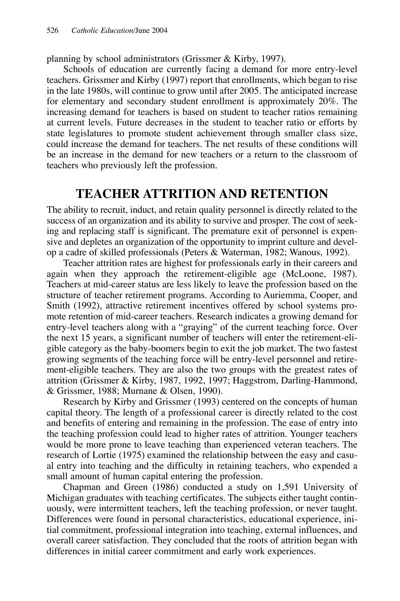planning by school administrators (Grissmer & Kirby, 1997).

Schools of education are currently facing a demand for more entry-level teachers. Grissmer and Kirby (1997) report that enrollments, which began to rise in the late 1980s, will continue to grow until after 2005. The anticipated increase for elementary and secondary student enrollment is approximately 20%. The increasing demand for teachers is based on student to teacher ratios remaining at current levels. Future decreases in the student to teacher ratio or efforts by state legislatures to promote student achievement through smaller class size, could increase the demand for teachers. The net results of these conditions will be an increase in the demand for new teachers or a return to the classroom of teachers who previously left the profession.

## **TEACHER ATTRITION AND RETENTION**

The ability to recruit, induct, and retain quality personnel is directly related to the success of an organization and its ability to survive and prosper. The cost of seeking and replacing staff is significant. The premature exit of personnel is expensive and depletes an organization of the opportunity to imprint culture and develop a cadre of skilled professionals (Peters & Waterman, 1982; Wanous, 1992).

Teacher attrition rates are highest for professionals early in their careers and again when they approach the retirement-eligible age (McLoone, 1987). Teachers at mid-career status are less likely to leave the profession based on the structure of teacher retirement programs. According to Auriemma, Cooper, and Smith (1992), attractive retirement incentives offered by school systems promote retention of mid-career teachers. Research indicates a growing demand for entry-level teachers along with a "graying" of the current teaching force. Over the next 15 years, a significant number of teachers will enter the retirement-eligible category as the baby-boomers begin to exit the job market. The two fastest growing segments of the teaching force will be entry-level personnel and retirement-eligible teachers. They are also the two groups with the greatest rates of attrition (Grissmer & Kirby, 1987, 1992, 1997; Haggstrom, Darling-Hammond, & Grissmer, 1988; Murnane & Olsen, 1990).

Research by Kirby and Grissmer (1993) centered on the concepts of human capital theory. The length of a professional career is directly related to the cost and benefits of entering and remaining in the profession. The ease of entry into the teaching profession could lead to higher rates of attrition. Younger teachers would be more prone to leave teaching than experienced veteran teachers. The research of Lortie (1975) examined the relationship between the easy and casual entry into teaching and the difficulty in retaining teachers, who expended a small amount of human capital entering the profession.

Chapman and Green (1986) conducted a study on 1,591 University of Michigan graduates with teaching certificates. The subjects either taught continuously, were intermittent teachers, left the teaching profession, or never taught. Differences were found in personal characteristics, educational experience, initial commitment, professional integration into teaching, external influences, and overall career satisfaction. They concluded that the roots of attrition began with differences in initial career commitment and early work experiences.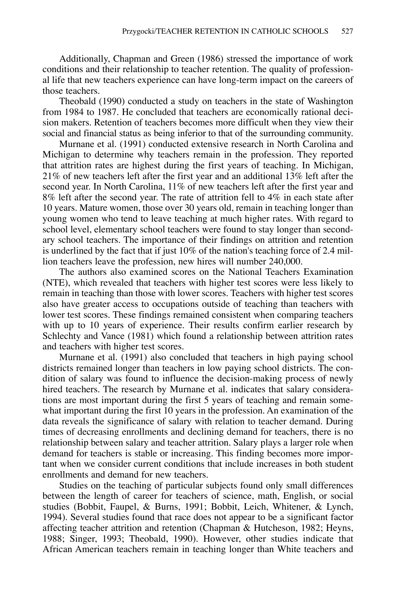Additionally, Chapman and Green (1986) stressed the importance of work conditions and their relationship to teacher retention. The quality of professional life that new teachers experience can have long-term impact on the careers of those teachers.

Theobald (1990) conducted a study on teachers in the state of Washington from 1984 to 1987. He concluded that teachers are economically rational decision makers. Retention of teachers becomes more difficult when they view their social and financial status as being inferior to that of the surrounding community.

Murnane et al. (1991) conducted extensive research in North Carolina and Michigan to determine why teachers remain in the profession. They reported that attrition rates are highest during the first years of teaching. In Michigan, 21% of new teachers left after the first year and an additional 13% left after the second year. In North Carolina, 11% of new teachers left after the first year and 8% left after the second year. The rate of attrition fell to 4% in each state after 10 years. Mature women, those over 30 years old, remain in teaching longer than young women who tend to leave teaching at much higher rates. With regard to school level, elementary school teachers were found to stay longer than secondary school teachers. The importance of their findings on attrition and retention is underlined by the fact that if just 10% of the nation's teaching force of 2.4 million teachers leave the profession, new hires will number 240,000.

The authors also examined scores on the National Teachers Examination (NTE), which revealed that teachers with higher test scores were less likely to remain in teaching than those with lower scores. Teachers with higher test scores also have greater access to occupations outside of teaching than teachers with lower test scores. These findings remained consistent when comparing teachers with up to 10 years of experience. Their results confirm earlier research by Schlechty and Vance (1981) which found a relationship between attrition rates and teachers with higher test scores.

Murnane et al. (1991) also concluded that teachers in high paying school districts remained longer than teachers in low paying school districts. The condition of salary was found to influence the decision-making process of newly hired teachers. The research by Murnane et al. indicates that salary considerations are most important during the first 5 years of teaching and remain somewhat important during the first 10 years in the profession. An examination of the data reveals the significance of salary with relation to teacher demand. During times of decreasing enrollments and declining demand for teachers, there is no relationship between salary and teacher attrition. Salary plays a larger role when demand for teachers is stable or increasing. This finding becomes more important when we consider current conditions that include increases in both student enrollments and demand for new teachers.

Studies on the teaching of particular subjects found only small differences between the length of career for teachers of science, math, English, or social studies (Bobbit, Faupel, & Burns, 1991; Bobbit, Leich, Whitener, & Lynch, 1994). Several studies found that race does not appear to be a significant factor affecting teacher attrition and retention (Chapman & Hutcheson, 1982; Heyns, 1988; Singer, 1993; Theobald, 1990). However, other studies indicate that African American teachers remain in teaching longer than White teachers and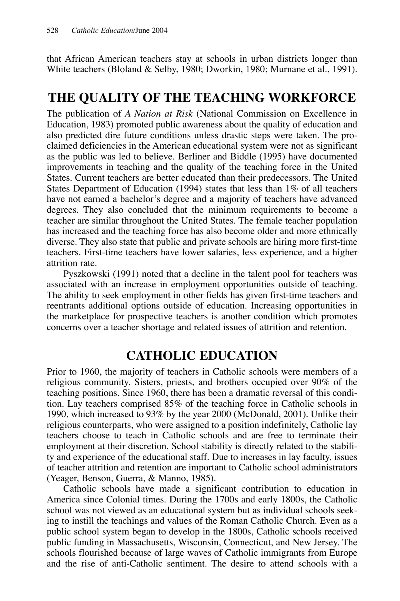that African American teachers stay at schools in urban districts longer than White teachers (Bloland & Selby, 1980; Dworkin, 1980; Murnane et al., 1991).

## **THE QUALITY OF THE TEACHING WORKFORCE**

The publication of *A Nation at Risk* (National Commission on Excellence in Education, 1983) promoted public awareness about the quality of education and also predicted dire future conditions unless drastic steps were taken. The proclaimed deficiencies in the American educational system were not as significant as the public was led to believe. Berliner and Biddle (1995) have documented improvements in teaching and the quality of the teaching force in the United States. Current teachers are better educated than their predecessors. The United States Department of Education (1994) states that less than 1% of all teachers have not earned a bachelor's degree and a majority of teachers have advanced degrees. They also concluded that the minimum requirements to become a teacher are similar throughout the United States. The female teacher population has increased and the teaching force has also become older and more ethnically diverse. They also state that public and private schools are hiring more first-time teachers. First-time teachers have lower salaries, less experience, and a higher attrition rate.

Pyszkowski (1991) noted that a decline in the talent pool for teachers was associated with an increase in employment opportunities outside of teaching. The ability to seek employment in other fields has given first-time teachers and reentrants additional options outside of education. Increasing opportunities in the marketplace for prospective teachers is another condition which promotes concerns over a teacher shortage and related issues of attrition and retention.

# **CATHOLIC EDUCATION**

Prior to 1960, the majority of teachers in Catholic schools were members of a religious community. Sisters, priests, and brothers occupied over 90% of the teaching positions. Since 1960, there has been a dramatic reversal of this condition. Lay teachers comprised 85% of the teaching force in Catholic schools in 1990, which increased to 93% by the year 2000 (McDonald, 2001). Unlike their religious counterparts, who were assigned to a position indefinitely, Catholic lay teachers choose to teach in Catholic schools and are free to terminate their employment at their discretion. School stability is directly related to the stability and experience of the educational staff. Due to increases in lay faculty, issues of teacher attrition and retention are important to Catholic school administrators (Yeager, Benson, Guerra, & Manno, 1985).

Catholic schools have made a significant contribution to education in America since Colonial times. During the 1700s and early 1800s, the Catholic school was not viewed as an educational system but as individual schools seeking to instill the teachings and values of the Roman Catholic Church. Even as a public school system began to develop in the 1800s, Catholic schools received public funding in Massachusetts, Wisconsin, Connecticut, and New Jersey. The schools flourished because of large waves of Catholic immigrants from Europe and the rise of anti-Catholic sentiment. The desire to attend schools with a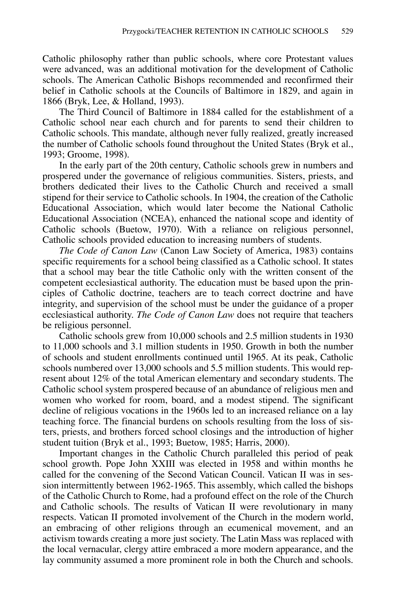Catholic philosophy rather than public schools, where core Protestant values were advanced, was an additional motivation for the development of Catholic schools. The American Catholic Bishops recommended and reconfirmed their belief in Catholic schools at the Councils of Baltimore in 1829, and again in 1866 (Bryk, Lee, & Holland, 1993).

The Third Council of Baltimore in 1884 called for the establishment of a Catholic school near each church and for parents to send their children to Catholic schools. This mandate, although never fully realized, greatly increased the number of Catholic schools found throughout the United States (Bryk et al., 1993; Groome, 1998).

In the early part of the 20th century, Catholic schools grew in numbers and prospered under the governance of religious communities. Sisters, priests, and brothers dedicated their lives to the Catholic Church and received a small stipend for their service to Catholic schools. In 1904, the creation of the Catholic Educational Association, which would later become the National Catholic Educational Association (NCEA), enhanced the national scope and identity of Catholic schools (Buetow, 1970). With a reliance on religious personnel, Catholic schools provided education to increasing numbers of students.

*The Code of Canon Law* (Canon Law Society of America, 1983) contains specific requirements for a school being classified as a Catholic school. It states that a school may bear the title Catholic only with the written consent of the competent ecclesiastical authority. The education must be based upon the principles of Catholic doctrine, teachers are to teach correct doctrine and have integrity, and supervision of the school must be under the guidance of a proper ecclesiastical authority. *The Code of Canon Law* does not require that teachers be religious personnel.

Catholic schools grew from 10,000 schools and 2.5 million students in 1930 to 11,000 schools and 3.1 million students in 1950. Growth in both the number of schools and student enrollments continued until 1965. At its peak, Catholic schools numbered over 13,000 schools and 5.5 million students. This would represent about 12% of the total American elementary and secondary students. The Catholic school system prospered because of an abundance of religious men and women who worked for room, board, and a modest stipend. The significant decline of religious vocations in the 1960s led to an increased reliance on a lay teaching force. The financial burdens on schools resulting from the loss of sisters, priests, and brothers forced school closings and the introduction of higher student tuition (Bryk et al., 1993; Buetow, 1985; Harris, 2000).

Important changes in the Catholic Church paralleled this period of peak school growth. Pope John XXIII was elected in 1958 and within months he called for the convening of the Second Vatican Council. Vatican II was in session intermittently between 1962-1965. This assembly, which called the bishops of the Catholic Church to Rome, had a profound effect on the role of the Church and Catholic schools. The results of Vatican II were revolutionary in many respects. Vatican II promoted involvement of the Church in the modern world, an embracing of other religions through an ecumenical movement, and an activism towards creating a more just society. The Latin Mass was replaced with the local vernacular, clergy attire embraced a more modern appearance, and the lay community assumed a more prominent role in both the Church and schools.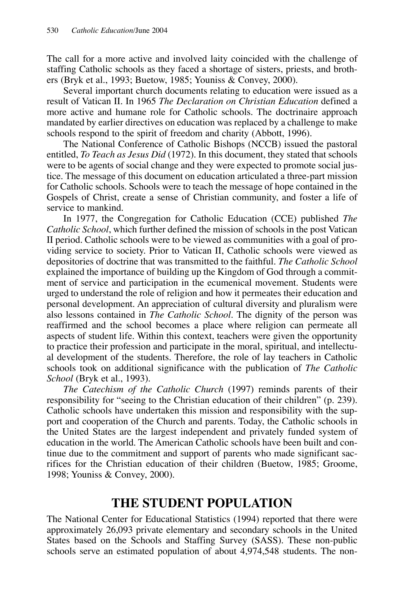The call for a more active and involved laity coincided with the challenge of staffing Catholic schools as they faced a shortage of sisters, priests, and brothers (Bryk et al., 1993; Buetow, 1985; Youniss & Convey, 2000).

Several important church documents relating to education were issued as a result of Vatican II. In 1965 *The Declaration on Christian Education* defined a more active and humane role for Catholic schools. The doctrinaire approach mandated by earlier directives on education was replaced by a challenge to make schools respond to the spirit of freedom and charity (Abbott, 1996).

The National Conference of Catholic Bishops (NCCB) issued the pastoral entitled, *To Teach as Jesus Did* (1972). In this document, they stated that schools were to be agents of social change and they were expected to promote social justice. The message of this document on education articulated a three-part mission for Catholic schools. Schools were to teach the message of hope contained in the Gospels of Christ, create a sense of Christian community, and foster a life of service to mankind.

In 1977, the Congregation for Catholic Education (CCE) published *The Catholic School*, which further defined the mission of schools in the post Vatican II period. Catholic schools were to be viewed as communities with a goal of providing service to society. Prior to Vatican II, Catholic schools were viewed as depositories of doctrine that was transmitted to the faithful. *The Catholic School* explained the importance of building up the Kingdom of God through a commitment of service and participation in the ecumenical movement. Students were urged to understand the role of religion and how it permeates their education and personal development. An appreciation of cultural diversity and pluralism were also lessons contained in *The Catholic School*. The dignity of the person was reaffirmed and the school becomes a place where religion can permeate all aspects of student life. Within this context, teachers were given the opportunity to practice their profession and participate in the moral, spiritual, and intellectual development of the students. Therefore, the role of lay teachers in Catholic schools took on additional significance with the publication of *The Catholic School* (Bryk et al., 1993).

*The Catechism of the Catholic Church* (1997) reminds parents of their responsibility for "seeing to the Christian education of their children" (p. 239). Catholic schools have undertaken this mission and responsibility with the support and cooperation of the Church and parents. Today, the Catholic schools in the United States are the largest independent and privately funded system of education in the world. The American Catholic schools have been built and continue due to the commitment and support of parents who made significant sacrifices for the Christian education of their children (Buetow, 1985; Groome, 1998; Youniss & Convey, 2000).

### **THE STUDENT POPULATION**

The National Center for Educational Statistics (1994) reported that there were approximately 26,093 private elementary and secondary schools in the United States based on the Schools and Staffing Survey (SASS). These non-public schools serve an estimated population of about 4,974,548 students. The non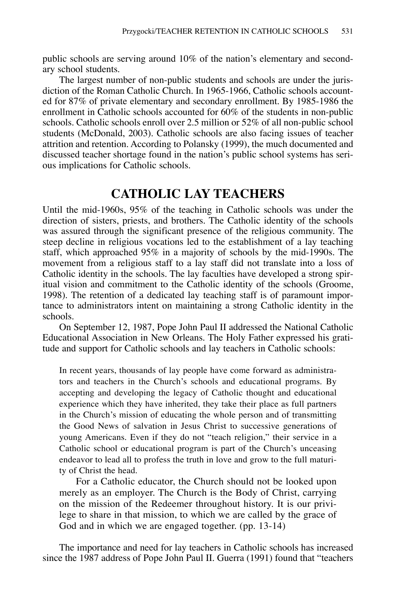public schools are serving around 10% of the nation's elementary and secondary school students.

The largest number of non-public students and schools are under the jurisdiction of the Roman Catholic Church. In 1965-1966, Catholic schools accounted for 87% of private elementary and secondary enrollment. By 1985-1986 the enrollment in Catholic schools accounted for 60% of the students in non-public schools. Catholic schools enroll over 2.5 million or 52% of all non-public school students (McDonald, 2003). Catholic schools are also facing issues of teacher attrition and retention. According to Polansky (1999), the much documented and discussed teacher shortage found in the nation's public school systems has serious implications for Catholic schools.

#### **CATHOLIC LAY TEACHERS**

Until the mid-1960s, 95% of the teaching in Catholic schools was under the direction of sisters, priests, and brothers. The Catholic identity of the schools was assured through the significant presence of the religious community. The steep decline in religious vocations led to the establishment of a lay teaching staff, which approached 95% in a majority of schools by the mid-1990s. The movement from a religious staff to a lay staff did not translate into a loss of Catholic identity in the schools. The lay faculties have developed a strong spiritual vision and commitment to the Catholic identity of the schools (Groome, 1998). The retention of a dedicated lay teaching staff is of paramount importance to administrators intent on maintaining a strong Catholic identity in the schools.

On September 12, 1987, Pope John Paul II addressed the National Catholic Educational Association in New Orleans. The Holy Father expressed his gratitude and support for Catholic schools and lay teachers in Catholic schools:

In recent years, thousands of lay people have come forward as administrators and teachers in the Church's schools and educational programs. By accepting and developing the legacy of Catholic thought and educational experience which they have inherited, they take their place as full partners in the Church's mission of educating the whole person and of transmitting the Good News of salvation in Jesus Christ to successive generations of young Americans. Even if they do not "teach religion," their service in a Catholic school or educational program is part of the Church's unceasing endeavor to lead all to profess the truth in love and grow to the full maturity of Christ the head.

For a Catholic educator, the Church should not be looked upon merely as an employer. The Church is the Body of Christ, carrying on the mission of the Redeemer throughout history. It is our privilege to share in that mission, to which we are called by the grace of God and in which we are engaged together. (pp. 13-14)

The importance and need for lay teachers in Catholic schools has increased since the 1987 address of Pope John Paul II. Guerra (1991) found that "teachers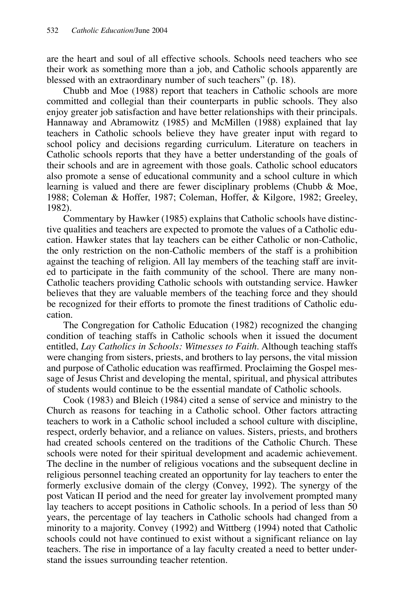are the heart and soul of all effective schools. Schools need teachers who see their work as something more than a job, and Catholic schools apparently are blessed with an extraordinary number of such teachers" (p. 18).

Chubb and Moe (1988) report that teachers in Catholic schools are more committed and collegial than their counterparts in public schools. They also enjoy greater job satisfaction and have better relationships with their principals. Hannaway and Abramowitz (1985) and McMillen (1988) explained that lay teachers in Catholic schools believe they have greater input with regard to school policy and decisions regarding curriculum. Literature on teachers in Catholic schools reports that they have a better understanding of the goals of their schools and are in agreement with those goals. Catholic school educators also promote a sense of educational community and a school culture in which learning is valued and there are fewer disciplinary problems (Chubb & Moe, 1988; Coleman & Hoffer, 1987; Coleman, Hoffer, & Kilgore, 1982; Greeley, 1982).

Commentary by Hawker (1985) explains that Catholic schools have distinctive qualities and teachers are expected to promote the values of a Catholic education. Hawker states that lay teachers can be either Catholic or non-Catholic, the only restriction on the non-Catholic members of the staff is a prohibition against the teaching of religion. All lay members of the teaching staff are invited to participate in the faith community of the school. There are many non-Catholic teachers providing Catholic schools with outstanding service. Hawker believes that they are valuable members of the teaching force and they should be recognized for their efforts to promote the finest traditions of Catholic education.

The Congregation for Catholic Education (1982) recognized the changing condition of teaching staffs in Catholic schools when it issued the document entitled, *Lay Catholics in Schools: Witnesses to Faith*. Although teaching staffs were changing from sisters, priests, and brothers to lay persons, the vital mission and purpose of Catholic education was reaffirmed. Proclaiming the Gospel message of Jesus Christ and developing the mental, spiritual, and physical attributes of students would continue to be the essential mandate of Catholic schools.

Cook (1983) and Bleich (1984) cited a sense of service and ministry to the Church as reasons for teaching in a Catholic school. Other factors attracting teachers to work in a Catholic school included a school culture with discipline, respect, orderly behavior, and a reliance on values. Sisters, priests, and brothers had created schools centered on the traditions of the Catholic Church. These schools were noted for their spiritual development and academic achievement. The decline in the number of religious vocations and the subsequent decline in religious personnel teaching created an opportunity for lay teachers to enter the formerly exclusive domain of the clergy (Convey, 1992). The synergy of the post Vatican II period and the need for greater lay involvement prompted many lay teachers to accept positions in Catholic schools. In a period of less than 50 years, the percentage of lay teachers in Catholic schools had changed from a minority to a majority. Convey (1992) and Wittberg (1994) noted that Catholic schools could not have continued to exist without a significant reliance on lay teachers. The rise in importance of a lay faculty created a need to better understand the issues surrounding teacher retention.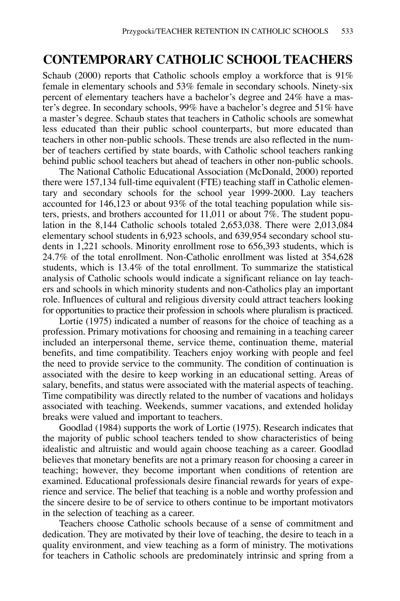#### **CONTEMPORARY CATHOLIC SCHOOL TEACHERS**

Schaub (2000) reports that Catholic schools employ a workforce that is  $91\%$ female in elementary schools and 53% female in secondary schools. Ninety-six percent of elementary teachers have a bachelor's degree and 24% have a master's degree. In secondary schools, 99% have a bachelor's degree and 51% have a master's degree. Schaub states that teachers in Catholic schools are somewhat less educated than their public school counterparts, but more educated than teachers in other non-public schools. These trends are also reflected in the number of teachers certified by state boards, with Catholic school teachers ranking behind public school teachers but ahead of teachers in other non-public schools.

The National Catholic Educational Association (McDonald, 2000) reported there were 157,134 full-time equivalent (FTE) teaching staff in Catholic elementary and secondary schools for the school year 1999-2000. Lay teachers accounted for 146,123 or about 93% of the total teaching population while sisters, priests, and brothers accounted for 11,011 or about 7%. The student population in the 8,144 Catholic schools totaled 2,653,038. There were 2,013,084 elementary school students in 6,923 schools, and 639,954 secondary school students in 1,221 schools. Minority enrollment rose to 656,393 students, which is 24.7% of the total enrollment. Non-Catholic enrollment was listed at 354,628 students, which is 13.4% of the total enrollment. To summarize the statistical analysis of Catholic schools would indicate a significant reliance on lay teachers and schools in which minority students and non-Catholics play an important role. Influences of cultural and religious diversity could attract teachers looking for opportunities to practice their profession in schools where pluralism is practiced.

Lortie (1975) indicated a number of reasons for the choice of teaching as a profession. Primary motivations for choosing and remaining in a teaching career included an interpersonal theme, service theme, continuation theme, material benefits, and time compatibility. Teachers enjoy working with people and feel the need to provide service to the community. The condition of continuation is associated with the desire to keep working in an educational setting. Areas of salary, benefits, and status were associated with the material aspects of teaching. Time compatibility was directly related to the number of vacations and holidays associated with teaching. Weekends, summer vacations, and extended holiday breaks were valued and important to teachers.

Goodlad (1984) supports the work of Lortie (1975). Research indicates that the majority of public school teachers tended to show characteristics of being idealistic and altruistic and would again choose teaching as a career. Goodlad believes that monetary benefits are not a primary reason for choosing a career in teaching; however, they become important when conditions of retention are examined. Educational professionals desire financial rewards for years of experience and service. The belief that teaching is a noble and worthy profession and the sincere desire to be of service to others continue to be important motivators in the selection of teaching as a career.

Teachers choose Catholic schools because of a sense of commitment and dedication. They are motivated by their love of teaching, the desire to teach in a quality environment, and view teaching as a form of ministry. The motivations for teachers in Catholic schools are predominately intrinsic and spring from a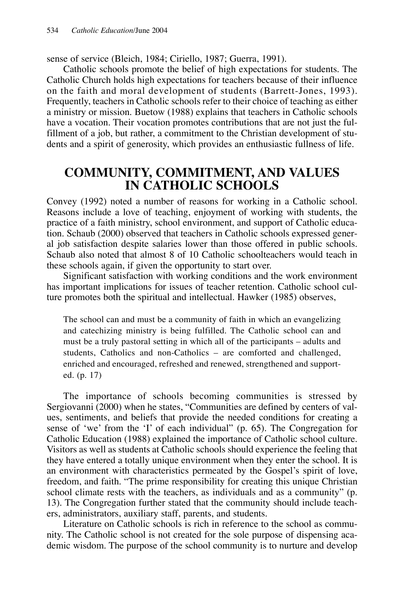sense of service (Bleich, 1984; Ciriello, 1987; Guerra, 1991).

Catholic schools promote the belief of high expectations for students. The Catholic Church holds high expectations for teachers because of their influence on the faith and moral development of students (Barrett-Jones, 1993). Frequently, teachers in Catholic schools refer to their choice of teaching as either a ministry or mission. Buetow (1988) explains that teachers in Catholic schools have a vocation. Their vocation promotes contributions that are not just the fulfillment of a job, but rather, a commitment to the Christian development of students and a spirit of generosity, which provides an enthusiastic fullness of life.

### **COMMUNITY, COMMITMENT, AND VALUES IN CATHOLIC SCHOOLS**

Convey (1992) noted a number of reasons for working in a Catholic school. Reasons include a love of teaching, enjoyment of working with students, the practice of a faith ministry, school environment, and support of Catholic education. Schaub (2000) observed that teachers in Catholic schools expressed general job satisfaction despite salaries lower than those offered in public schools. Schaub also noted that almost 8 of 10 Catholic schoolteachers would teach in these schools again, if given the opportunity to start over.

Significant satisfaction with working conditions and the work environment has important implications for issues of teacher retention. Catholic school culture promotes both the spiritual and intellectual. Hawker (1985) observes,

The school can and must be a community of faith in which an evangelizing and catechizing ministry is being fulfilled. The Catholic school can and must be a truly pastoral setting in which all of the participants – adults and students, Catholics and non-Catholics – are comforted and challenged, enriched and encouraged, refreshed and renewed, strengthened and supported. (p. 17)

The importance of schools becoming communities is stressed by Sergiovanni (2000) when he states, "Communities are defined by centers of values, sentiments, and beliefs that provide the needed conditions for creating a sense of 'we' from the 'I' of each individual" (p. 65). The Congregation for Catholic Education (1988) explained the importance of Catholic school culture. Visitors as well as students at Catholic schools should experience the feeling that they have entered a totally unique environment when they enter the school. It is an environment with characteristics permeated by the Gospel's spirit of love, freedom, and faith. "The prime responsibility for creating this unique Christian school climate rests with the teachers, as individuals and as a community" (p. 13). The Congregation further stated that the community should include teachers, administrators, auxiliary staff, parents, and students.

Literature on Catholic schools is rich in reference to the school as community. The Catholic school is not created for the sole purpose of dispensing academic wisdom. The purpose of the school community is to nurture and develop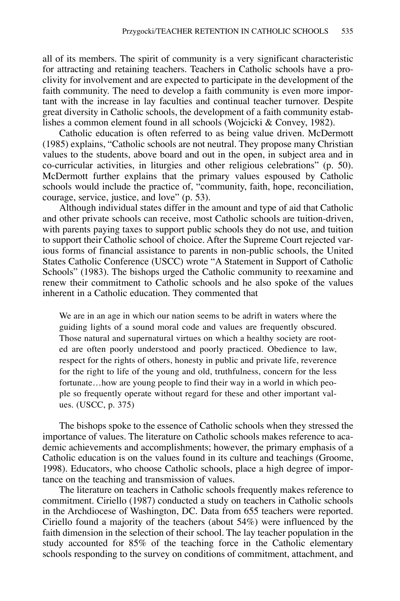all of its members. The spirit of community is a very significant characteristic for attracting and retaining teachers. Teachers in Catholic schools have a proclivity for involvement and are expected to participate in the development of the faith community. The need to develop a faith community is even more important with the increase in lay faculties and continual teacher turnover. Despite great diversity in Catholic schools, the development of a faith community establishes a common element found in all schools (Wojcicki & Convey, 1982).

Catholic education is often referred to as being value driven. McDermott (1985) explains, "Catholic schools are not neutral. They propose many Christian values to the students, above board and out in the open, in subject area and in co-curricular activities, in liturgies and other religious celebrations" (p. 50). McDermott further explains that the primary values espoused by Catholic schools would include the practice of, "community, faith, hope, reconciliation, courage, service, justice, and love" (p. 53).

Although individual states differ in the amount and type of aid that Catholic and other private schools can receive, most Catholic schools are tuition-driven, with parents paying taxes to support public schools they do not use, and tuition to support their Catholic school of choice. After the Supreme Court rejected various forms of financial assistance to parents in non-public schools, the United States Catholic Conference (USCC) wrote "A Statement in Support of Catholic Schools" (1983). The bishops urged the Catholic community to reexamine and renew their commitment to Catholic schools and he also spoke of the values inherent in a Catholic education. They commented that

We are in an age in which our nation seems to be adrift in waters where the guiding lights of a sound moral code and values are frequently obscured. Those natural and supernatural virtues on which a healthy society are rooted are often poorly understood and poorly practiced. Obedience to law, respect for the rights of others, honesty in public and private life, reverence for the right to life of the young and old, truthfulness, concern for the less fortunate…how are young people to find their way in a world in which people so frequently operate without regard for these and other important values. (USCC, p. 375)

The bishops spoke to the essence of Catholic schools when they stressed the importance of values. The literature on Catholic schools makes reference to academic achievements and accomplishments; however, the primary emphasis of a Catholic education is on the values found in its culture and teachings (Groome, 1998). Educators, who choose Catholic schools, place a high degree of importance on the teaching and transmission of values.

The literature on teachers in Catholic schools frequently makes reference to commitment. Ciriello (1987) conducted a study on teachers in Catholic schools in the Archdiocese of Washington, DC. Data from 655 teachers were reported. Ciriello found a majority of the teachers (about 54%) were influenced by the faith dimension in the selection of their school. The lay teacher population in the study accounted for 85% of the teaching force in the Catholic elementary schools responding to the survey on conditions of commitment, attachment, and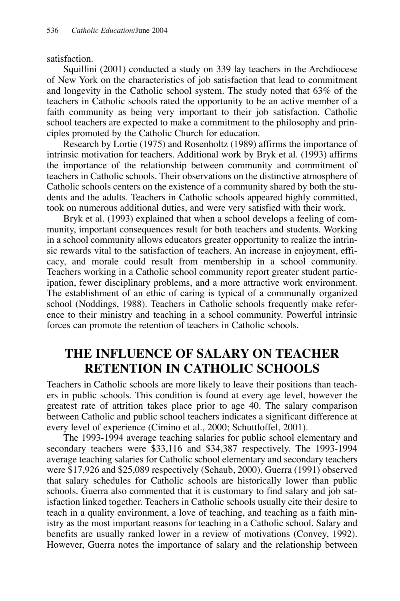#### satisfaction.

Squillini (2001) conducted a study on 339 lay teachers in the Archdiocese of New York on the characteristics of job satisfaction that lead to commitment and longevity in the Catholic school system. The study noted that 63% of the teachers in Catholic schools rated the opportunity to be an active member of a faith community as being very important to their job satisfaction. Catholic school teachers are expected to make a commitment to the philosophy and principles promoted by the Catholic Church for education.

Research by Lortie (1975) and Rosenholtz (1989) affirms the importance of intrinsic motivation for teachers. Additional work by Bryk et al. (1993) affirms the importance of the relationship between community and commitment of teachers in Catholic schools. Their observations on the distinctive atmosphere of Catholic schools centers on the existence of a community shared by both the students and the adults. Teachers in Catholic schools appeared highly committed, took on numerous additional duties, and were very satisfied with their work.

Bryk et al. (1993) explained that when a school develops a feeling of community, important consequences result for both teachers and students. Working in a school community allows educators greater opportunity to realize the intrinsic rewards vital to the satisfaction of teachers. An increase in enjoyment, efficacy, and morale could result from membership in a school community. Teachers working in a Catholic school community report greater student participation, fewer disciplinary problems, and a more attractive work environment. The establishment of an ethic of caring is typical of a communally organized school (Noddings, 1988). Teachers in Catholic schools frequently make reference to their ministry and teaching in a school community. Powerful intrinsic forces can promote the retention of teachers in Catholic schools.

## **THE INFLUENCE OF SALARY ON TEACHER RETENTION IN CATHOLIC SCHOOLS**

Teachers in Catholic schools are more likely to leave their positions than teachers in public schools. This condition is found at every age level, however the greatest rate of attrition takes place prior to age 40. The salary comparison between Catholic and public school teachers indicates a significant difference at every level of experience (Cimino et al., 2000; Schuttloffel, 2001).

The 1993-1994 average teaching salaries for public school elementary and secondary teachers were \$33,116 and \$34,387 respectively. The 1993-1994 average teaching salaries for Catholic school elementary and secondary teachers were \$17,926 and \$25,089 respectively (Schaub, 2000). Guerra (1991) observed that salary schedules for Catholic schools are historically lower than public schools. Guerra also commented that it is customary to find salary and job satisfaction linked together. Teachers in Catholic schools usually cite their desire to teach in a quality environment, a love of teaching, and teaching as a faith ministry as the most important reasons for teaching in a Catholic school. Salary and benefits are usually ranked lower in a review of motivations (Convey, 1992). However, Guerra notes the importance of salary and the relationship between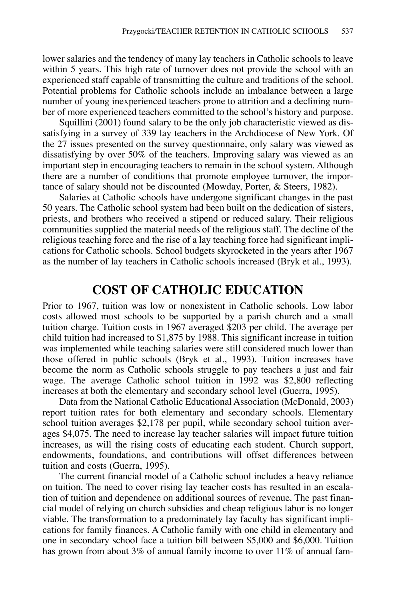lower salaries and the tendency of many lay teachers in Catholic schools to leave within 5 years. This high rate of turnover does not provide the school with an experienced staff capable of transmitting the culture and traditions of the school. Potential problems for Catholic schools include an imbalance between a large number of young inexperienced teachers prone to attrition and a declining number of more experienced teachers committed to the school's history and purpose.

Squillini (2001) found salary to be the only job characteristic viewed as dissatisfying in a survey of 339 lay teachers in the Archdiocese of New York. Of the 27 issues presented on the survey questionnaire, only salary was viewed as dissatisfying by over 50% of the teachers. Improving salary was viewed as an important step in encouraging teachers to remain in the school system. Although there are a number of conditions that promote employee turnover, the importance of salary should not be discounted (Mowday, Porter, & Steers, 1982).

Salaries at Catholic schools have undergone significant changes in the past 50 years. The Catholic school system had been built on the dedication of sisters, priests, and brothers who received a stipend or reduced salary. Their religious communities supplied the material needs of the religious staff. The decline of the religious teaching force and the rise of a lay teaching force had significant implications for Catholic schools. School budgets skyrocketed in the years after 1967 as the number of lay teachers in Catholic schools increased (Bryk et al., 1993).

#### **COST OF CATHOLIC EDUCATION**

Prior to 1967, tuition was low or nonexistent in Catholic schools. Low labor costs allowed most schools to be supported by a parish church and a small tuition charge. Tuition costs in 1967 averaged \$203 per child. The average per child tuition had increased to \$1,875 by 1988. This significant increase in tuition was implemented while teaching salaries were still considered much lower than those offered in public schools (Bryk et al., 1993). Tuition increases have become the norm as Catholic schools struggle to pay teachers a just and fair wage. The average Catholic school tuition in 1992 was \$2,800 reflecting increases at both the elementary and secondary school level (Guerra, 1995).

Data from the National Catholic Educational Association (McDonald, 2003) report tuition rates for both elementary and secondary schools. Elementary school tuition averages \$2,178 per pupil, while secondary school tuition averages \$4,075. The need to increase lay teacher salaries will impact future tuition increases, as will the rising costs of educating each student. Church support, endowments, foundations, and contributions will offset differences between tuition and costs (Guerra, 1995).

The current financial model of a Catholic school includes a heavy reliance on tuition. The need to cover rising lay teacher costs has resulted in an escalation of tuition and dependence on additional sources of revenue. The past financial model of relying on church subsidies and cheap religious labor is no longer viable. The transformation to a predominately lay faculty has significant implications for family finances. A Catholic family with one child in elementary and one in secondary school face a tuition bill between \$5,000 and \$6,000. Tuition has grown from about 3% of annual family income to over 11% of annual fam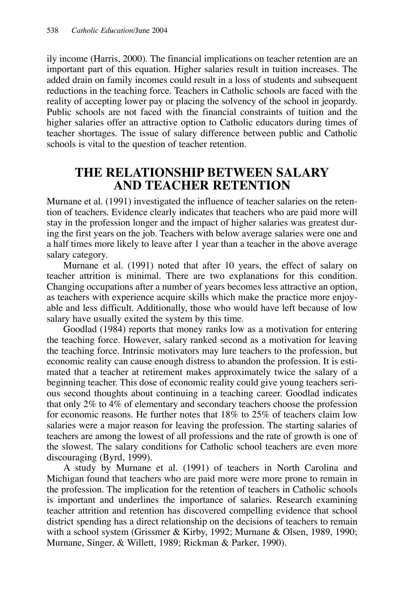ily income (Harris, 2000). The financial implications on teacher retention are an important part of this equation. Higher salaries result in tuition increases. The added drain on family incomes could result in a loss of students and subsequent reductions in the teaching force. Teachers in Catholic schools are faced with the reality of accepting lower pay or placing the solvency of the school in jeopardy. Public schools are not faced with the financial constraints of tuition and the higher salaries offer an attractive option to Catholic educators during times of teacher shortages. The issue of salary difference between public and Catholic schools is vital to the question of teacher retention.

### **THE RELATIONSHIP BETWEEN SALARY AND TEACHER RETENTION**

Murnane et al. (1991) investigated the influence of teacher salaries on the retention of teachers. Evidence clearly indicates that teachers who are paid more will stay in the profession longer and the impact of higher salaries was greatest during the first years on the job. Teachers with below average salaries were one and a half times more likely to leave after 1 year than a teacher in the above average salary category.

Murnane et al. (1991) noted that after 10 years, the effect of salary on teacher attrition is minimal. There are two explanations for this condition. Changing occupations after a number of years becomes less attractive an option, as teachers with experience acquire skills which make the practice more enjoyable and less difficult. Additionally, those who would have left because of low salary have usually exited the system by this time.

Goodlad (1984) reports that money ranks low as a motivation for entering the teaching force. However, salary ranked second as a motivation for leaving the teaching force. Intrinsic motivators may lure teachers to the profession, but economic reality can cause enough distress to abandon the profession. It is estimated that a teacher at retirement makes approximately twice the salary of a beginning teacher. This dose of economic reality could give young teachers serious second thoughts about continuing in a teaching career. Goodlad indicates that only 2% to 4% of elementary and secondary teachers choose the profession for economic reasons. He further notes that 18% to 25% of teachers claim low salaries were a major reason for leaving the profession. The starting salaries of teachers are among the lowest of all professions and the rate of growth is one of the slowest. The salary conditions for Catholic school teachers are even more discouraging (Byrd, 1999).

A study by Murnane et al. (1991) of teachers in North Carolina and Michigan found that teachers who are paid more were more prone to remain in the profession. The implication for the retention of teachers in Catholic schools is important and underlines the importance of salaries. Research examining teacher attrition and retention has discovered compelling evidence that school district spending has a direct relationship on the decisions of teachers to remain with a school system (Grissmer & Kirby, 1992; Murnane & Olsen, 1989, 1990; Murnane, Singer, & Willett, 1989; Rickman & Parker, 1990).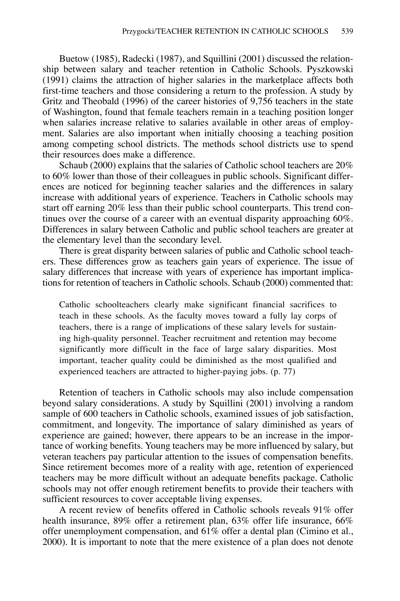Buetow (1985), Radecki (1987), and Squillini (2001) discussed the relationship between salary and teacher retention in Catholic Schools. Pyszkowski (1991) claims the attraction of higher salaries in the marketplace affects both first-time teachers and those considering a return to the profession. A study by Gritz and Theobald (1996) of the career histories of 9,756 teachers in the state of Washington, found that female teachers remain in a teaching position longer when salaries increase relative to salaries available in other areas of employment. Salaries are also important when initially choosing a teaching position among competing school districts. The methods school districts use to spend their resources does make a difference.

Schaub (2000) explains that the salaries of Catholic school teachers are 20% to 60% lower than those of their colleagues in public schools. Significant differences are noticed for beginning teacher salaries and the differences in salary increase with additional years of experience. Teachers in Catholic schools may start off earning 20% less than their public school counterparts. This trend continues over the course of a career with an eventual disparity approaching 60%. Differences in salary between Catholic and public school teachers are greater at the elementary level than the secondary level.

There is great disparity between salaries of public and Catholic school teachers. These differences grow as teachers gain years of experience. The issue of salary differences that increase with years of experience has important implications for retention of teachers in Catholic schools. Schaub (2000) commented that:

Catholic schoolteachers clearly make significant financial sacrifices to teach in these schools. As the faculty moves toward a fully lay corps of teachers, there is a range of implications of these salary levels for sustaining high-quality personnel. Teacher recruitment and retention may become significantly more difficult in the face of large salary disparities. Most important, teacher quality could be diminished as the most qualified and experienced teachers are attracted to higher-paying jobs. (p. 77)

Retention of teachers in Catholic schools may also include compensation beyond salary considerations. A study by Squillini (2001) involving a random sample of 600 teachers in Catholic schools, examined issues of job satisfaction, commitment, and longevity. The importance of salary diminished as years of experience are gained; however, there appears to be an increase in the importance of working benefits. Young teachers may be more influenced by salary, but veteran teachers pay particular attention to the issues of compensation benefits. Since retirement becomes more of a reality with age, retention of experienced teachers may be more difficult without an adequate benefits package. Catholic schools may not offer enough retirement benefits to provide their teachers with sufficient resources to cover acceptable living expenses.

A recent review of benefits offered in Catholic schools reveals 91% offer health insurance, 89% offer a retirement plan, 63% offer life insurance, 66% offer unemployment compensation, and 61% offer a dental plan (Cimino et al., 2000). It is important to note that the mere existence of a plan does not denote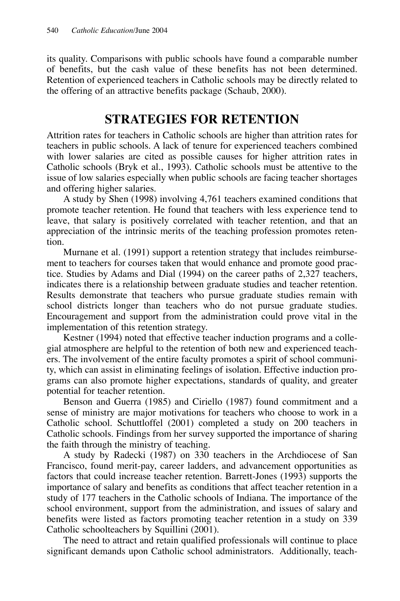its quality. Comparisons with public schools have found a comparable number of benefits, but the cash value of these benefits has not been determined. Retention of experienced teachers in Catholic schools may be directly related to the offering of an attractive benefits package (Schaub, 2000).

### **STRATEGIES FOR RETENTION**

Attrition rates for teachers in Catholic schools are higher than attrition rates for teachers in public schools. A lack of tenure for experienced teachers combined with lower salaries are cited as possible causes for higher attrition rates in Catholic schools (Bryk et al., 1993). Catholic schools must be attentive to the issue of low salaries especially when public schools are facing teacher shortages and offering higher salaries.

A study by Shen (1998) involving 4,761 teachers examined conditions that promote teacher retention. He found that teachers with less experience tend to leave, that salary is positively correlated with teacher retention, and that an appreciation of the intrinsic merits of the teaching profession promotes retention.

Murnane et al. (1991) support a retention strategy that includes reimbursement to teachers for courses taken that would enhance and promote good practice. Studies by Adams and Dial (1994) on the career paths of 2,327 teachers, indicates there is a relationship between graduate studies and teacher retention. Results demonstrate that teachers who pursue graduate studies remain with school districts longer than teachers who do not pursue graduate studies. Encouragement and support from the administration could prove vital in the implementation of this retention strategy.

Kestner (1994) noted that effective teacher induction programs and a collegial atmosphere are helpful to the retention of both new and experienced teachers. The involvement of the entire faculty promotes a spirit of school community, which can assist in eliminating feelings of isolation. Effective induction programs can also promote higher expectations, standards of quality, and greater potential for teacher retention.

Benson and Guerra (1985) and Ciriello (1987) found commitment and a sense of ministry are major motivations for teachers who choose to work in a Catholic school. Schuttloffel (2001) completed a study on 200 teachers in Catholic schools. Findings from her survey supported the importance of sharing the faith through the ministry of teaching.

A study by Radecki (1987) on 330 teachers in the Archdiocese of San Francisco, found merit-pay, career ladders, and advancement opportunities as factors that could increase teacher retention. Barrett-Jones (1993) supports the importance of salary and benefits as conditions that affect teacher retention in a study of 177 teachers in the Catholic schools of Indiana. The importance of the school environment, support from the administration, and issues of salary and benefits were listed as factors promoting teacher retention in a study on 339 Catholic schoolteachers by Squillini (2001).

The need to attract and retain qualified professionals will continue to place significant demands upon Catholic school administrators. Additionally, teach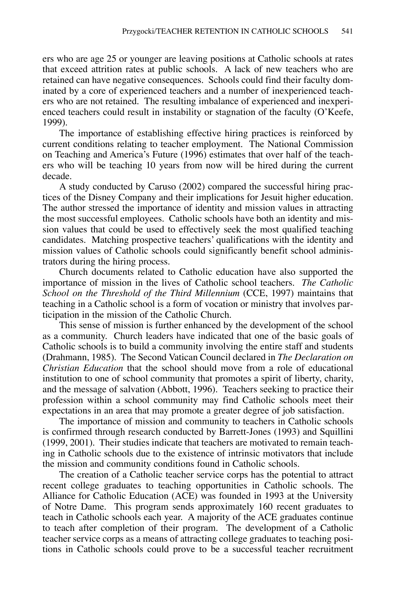ers who are age 25 or younger are leaving positions at Catholic schools at rates that exceed attrition rates at public schools. A lack of new teachers who are retained can have negative consequences. Schools could find their faculty dominated by a core of experienced teachers and a number of inexperienced teachers who are not retained. The resulting imbalance of experienced and inexperienced teachers could result in instability or stagnation of the faculty (O'Keefe, 1999).

The importance of establishing effective hiring practices is reinforced by current conditions relating to teacher employment. The National Commission on Teaching and America's Future (1996) estimates that over half of the teachers who will be teaching 10 years from now will be hired during the current decade.

A study conducted by Caruso (2002) compared the successful hiring practices of the Disney Company and their implications for Jesuit higher education. The author stressed the importance of identity and mission values in attracting the most successful employees. Catholic schools have both an identity and mission values that could be used to effectively seek the most qualified teaching candidates. Matching prospective teachers' qualifications with the identity and mission values of Catholic schools could significantly benefit school administrators during the hiring process.

Church documents related to Catholic education have also supported the importance of mission in the lives of Catholic school teachers. *The Catholic School on the Threshold of the Third Millennium* (CCE, 1997) maintains that teaching in a Catholic school is a form of vocation or ministry that involves participation in the mission of the Catholic Church.

This sense of mission is further enhanced by the development of the school as a community. Church leaders have indicated that one of the basic goals of Catholic schools is to build a community involving the entire staff and students (Drahmann, 1985). The Second Vatican Council declared in *The Declaration on Christian Education* that the school should move from a role of educational institution to one of school community that promotes a spirit of liberty, charity, and the message of salvation (Abbott, 1996). Teachers seeking to practice their profession within a school community may find Catholic schools meet their expectations in an area that may promote a greater degree of job satisfaction.

The importance of mission and community to teachers in Catholic schools is confirmed through research conducted by Barrett-Jones (1993) and Squillini (1999, 2001). Their studies indicate that teachers are motivated to remain teaching in Catholic schools due to the existence of intrinsic motivators that include the mission and community conditions found in Catholic schools.

The creation of a Catholic teacher service corps has the potential to attract recent college graduates to teaching opportunities in Catholic schools. The Alliance for Catholic Education (ACE) was founded in 1993 at the University of Notre Dame. This program sends approximately 160 recent graduates to teach in Catholic schools each year. A majority of the ACE graduates continue to teach after completion of their program. The development of a Catholic teacher service corps as a means of attracting college graduates to teaching positions in Catholic schools could prove to be a successful teacher recruitment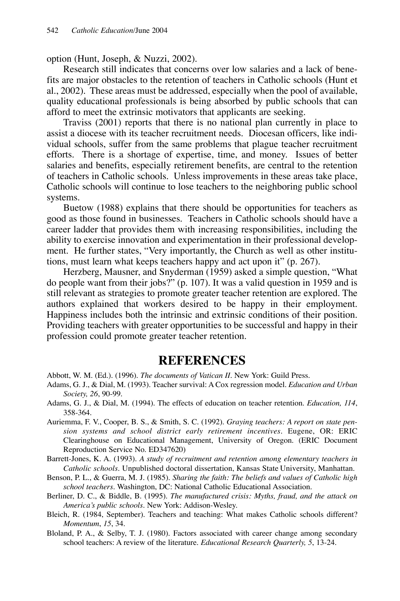option (Hunt, Joseph, & Nuzzi, 2002).

Research still indicates that concerns over low salaries and a lack of benefits are major obstacles to the retention of teachers in Catholic schools (Hunt et al., 2002). These areas must be addressed, especially when the pool of available, quality educational professionals is being absorbed by public schools that can afford to meet the extrinsic motivators that applicants are seeking.

Traviss (2001) reports that there is no national plan currently in place to assist a diocese with its teacher recruitment needs. Diocesan officers, like individual schools, suffer from the same problems that plague teacher recruitment efforts. There is a shortage of expertise, time, and money. Issues of better salaries and benefits, especially retirement benefits, are central to the retention of teachers in Catholic schools. Unless improvements in these areas take place, Catholic schools will continue to lose teachers to the neighboring public school systems.

Buetow (1988) explains that there should be opportunities for teachers as good as those found in businesses. Teachers in Catholic schools should have a career ladder that provides them with increasing responsibilities, including the ability to exercise innovation and experimentation in their professional development. He further states, "Very importantly, the Church as well as other institutions, must learn what keeps teachers happy and act upon it" (p. 267).

Herzberg, Mausner, and Snyderman (1959) asked a simple question, "What do people want from their jobs?" (p. 107). It was a valid question in 1959 and is still relevant as strategies to promote greater teacher retention are explored. The authors explained that workers desired to be happy in their employment. Happiness includes both the intrinsic and extrinsic conditions of their position. Providing teachers with greater opportunities to be successful and happy in their profession could promote greater teacher retention.

#### **REFERENCES**

Abbott, W. M. (Ed.). (1996). *The documents of Vatican II*. New York: Guild Press.

- Adams, G. J., & Dial, M. (1993). Teacher survival: A Cox regression model. *Education and Urban Society, 26*, 90-99.
- Adams, G. J., & Dial, M. (1994). The effects of education on teacher retention. *Education, 114*, 358-364.
- Auriemma, F. V., Cooper, B. S., & Smith, S. C. (1992). *Graying teachers: A report on state pension systems and school district early retirement incentives.* Eugene, OR: ERIC Clearinghouse on Educational Management, University of Oregon. (ERIC Document Reproduction Service No. ED347620)
- Barrett-Jones, K. A. (1993). *A study of recruitment and retention among elementary teachers in Catholic schools*. Unpublished doctoral dissertation, Kansas State University, Manhattan.
- Benson, P. L., & Guerra, M. J. (1985). *Sharing the faith: The beliefs and values of Catholic high school teachers*. Washington, DC: National Catholic Educational Association.
- Berliner, D. C., & Biddle, B. (1995). *The manufactured crisis: Myths, fraud, and the attack on America's public schools*. New York: Addison-Wesley.
- Bleich, R. (1984, September). Teachers and teaching: What makes Catholic schools different? *Momentum*, *15*, 34.
- Bloland, P. A., & Selby, T. J. (1980). Factors associated with career change among secondary school teachers: A review of the literature. *Educational Research Quarterly, 5*, 13-24.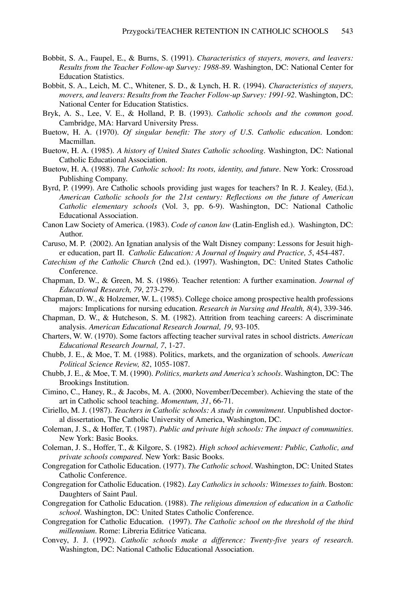- Bobbit, S. A., Faupel, E., & Burns, S. (1991). *Characteristics of stayers, movers, and leavers: Results from the Teacher Follow-up Survey: 1988-89*. Washington, DC: National Center for Education Statistics.
- Bobbit, S. A., Leich, M. C., Whitener, S. D., & Lynch, H. R. (1994). *Characteristics of stayers, movers, and leavers: Results from the Teacher Follow-up Survey: 1991-92*. Washington, DC: National Center for Education Statistics.
- Bryk, A. S., Lee, V. E., & Holland, P. B. (1993). *Catholic schools and the common good*. Cambridge, MA: Harvard University Press.
- Buetow, H. A. (1970). *Of singular benefit: The story of U.S. Catholic education*. London: Macmillan.
- Buetow, H. A. (1985). *A history of United States Catholic schooling*. Washington, DC: National Catholic Educational Association.
- Buetow, H. A. (1988). *The Catholic school: Its roots, identity, and future*. New York: Crossroad Publishing Company.
- Byrd, P. (1999). Are Catholic schools providing just wages for teachers? In R. J. Kealey, (Ed.), *American Catholic schools for the 21st century: Reflections on the future of American Catholic elementary schools* (Vol. 3, pp. 6-9). Washington, DC: National Catholic Educational Association.
- Canon Law Society of America. (1983). *Code of canon law* (Latin-English ed.). Washington, DC: Author.
- Caruso, M. P. (2002). An Ignatian analysis of the Walt Disney company: Lessons for Jesuit higher education, part II. *Catholic Education: A Journal of Inquiry and Practice, 5*, 454-487.
- *Catechism of the Catholic Church* (2nd ed.). (1997). Washington, DC: United States Catholic Conference.
- Chapman, D. W., & Green, M. S. (1986). Teacher retention: A further examination. *Journal of Educational Research, 79*, 273-279.
- Chapman, D. W., & Holzemer, W. L. (1985). College choice among prospective health professions majors: Implications for nursing education. *Research in Nursing and Health, 8*(4), 339-346.
- Chapman, D. W., & Hutcheson, S. M. (1982). Attrition from teaching careers: A discriminate analysis. *American Educational Research Journal, 19*, 93-105.
- Charters, W. W. (1970). Some factors affecting teacher survival rates in school districts. *American Educational Research Journal, 7*, 1-27.
- Chubb, J. E., & Moe, T. M. (1988). Politics, markets, and the organization of schools. *American Political Science Review, 82*, 1055-1087.
- Chubb, J. E., & Moe, T. M. (1990). *Politics, markets and America's schools*. Washington, DC: The Brookings Institution.
- Cimino, C., Haney, R., & Jacobs, M. A. (2000, November/December). Achieving the state of the art in Catholic school teaching. *Momentum, 31*, 66-71.
- Ciriello, M. J. (1987). *Teachers in Catholic schools: A study in commitment*. Unpublished doctoral dissertation, The Catholic University of America, Washington, DC.
- Coleman, J. S., & Hoffer, T. (1987). *Public and private high schools: The impact of communities*. New York: Basic Books.
- Coleman, J. S., Hoffer, T., & Kilgore, S. (1982). *High school achievement: Public, Catholic, and private schools compared*. New York: Basic Books.
- Congregation for Catholic Education. (1977). *The Catholic school*. Washington, DC: United States Catholic Conference.
- Congregation for Catholic Education. (1982). *Lay Catholics in schools: Witnesses to faith*. Boston: Daughters of Saint Paul.
- Congregation for Catholic Education. (1988). *The religious dimension of education in a Catholic school.* Washington, DC: United States Catholic Conference.
- Congregation for Catholic Education. (1997). *The Catholic school on the threshold of the third millennium*. Rome: Libreria Editrice Vaticana.
- Convey, J. J. (1992). *Catholic schools make a difference: Twenty-five years of research*. Washington, DC: National Catholic Educational Association.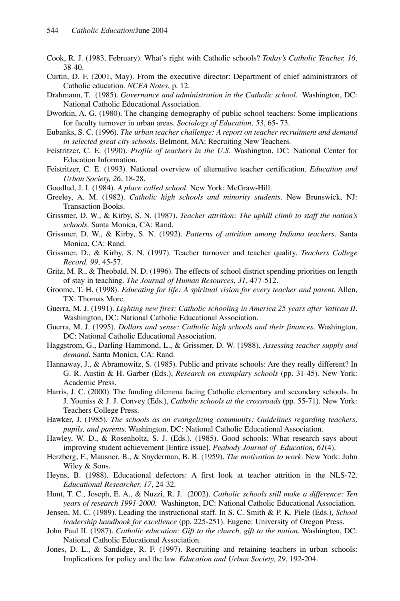- Cook, R. J. (1983, February). What's right with Catholic schools? *Today's Catholic Teacher, 16*, 38-40.
- Curtin, D. F. (2001, May). From the executive director: Department of chief administrators of Catholic education. *NCEA Notes*, p. 12.
- Drahmann, T. (1985). *Governance and administration in the Catholic school*. Washington, DC: National Catholic Educational Association.
- Dworkin, A. G. (1980). The changing demography of public school teachers: Some implications for faculty turnover in urban areas. *Sociology of Education, 53*, 65- 73.
- Eubanks, S. C. (1996). *The urban teacher challenge: A report on teacher recruitment and demand in selected great city schools*. Belmont, MA: Recruiting New Teachers.
- Feistritzer, C. E. (1990). *Profile of teachers in the U.S.* Washington, DC: National Center for Education Information.
- Feistritzer, C. E. (1993). National overview of alternative teacher certification. *Education and Urban Society, 26*, 18-28.
- Goodlad, J. I. (1984). *A place called school*. New York: McGraw-Hill.
- Greeley, A. M. (1982). *Catholic high schools and minority students*. New Brunswick, NJ: Transaction Books.
- Grissmer, D. W., & Kirby, S. N. (1987). *Teacher attrition: The uphill climb to staff the nation's schools*. Santa Monica, CA: Rand.
- Grissmer, D. W., & Kirby, S. N. (1992). *Patterns of attrition among Indiana teachers*. Santa Monica, CA: Rand.
- Grissmer, D., & Kirby, S. N. (1997). Teacher turnover and teacher quality. *Teachers College Record, 99*, 45-57.
- Gritz, M. R., & Theobald, N. D. (1996). The effects of school district spending priorities on length of stay in teaching. *The Journal of Human Resources, 31*, 477-512.
- Groome, T. H. (1998). *Educating for life: A spiritual vision for every teacher and parent*. Allen, TX: Thomas More.
- Guerra, M. J. (1991). *Lighting new fires: Catholic schooling in America 25 years after Vatican II*. Washington, DC: National Catholic Educational Association.
- Guerra, M. J. (1995). *Dollars and sense: Catholic high schools and their finances*. Washington, DC: National Catholic Educational Association.
- Haggstrom, G., Darling-Hammond, L., & Grissmer, D. W. (1988). *Assessing teacher supply and demand*. Santa Monica, CA: Rand.
- Hannaway, J., & Abramowitz, S. (1985). Public and private schools: Are they really different? In G. R. Austin & H. Garber (Eds.), *Research on exemplary schools* (pp. 31-45). New York: Academic Press.
- Harris, J. C. (2000). The funding dilemma facing Catholic elementary and secondary schools. In J. Youniss & J. J. Convey (Eds.), *Catholic schools at the crossroads* (pp. 55-71). New York: Teachers College Press.
- Hawker, J. (1985). *The schools as an evangelizing community: Guidelines regarding teachers, pupils, and parents*. Washington, DC: National Catholic Educational Association.
- Hawley, W. D., & Rosenholtz, S. J. (Eds.). (1985). Good schools: What research says about improving student achievement [Entire issue]. *Peabody Journal of Education, 61*(4).
- Herzberg, F., Mausner, B., & Snyderman, B. B. (1959). *The motivation to work*. New York: John Wiley & Sons.
- Heyns, B. (1988). Educational defectors: A first look at teacher attrition in the NLS-72. *Educational Researcher, 17*, 24-32.
- Hunt, T. C., Joseph, E. A., & Nuzzi, R. J. (2002). *Catholic schools still make a difference: Ten years of research 1991-2000*. Washington, DC: National Catholic Educational Association.
- Jensen, M. C. (1989). Leading the instructional staff. In S. C. Smith & P. K. Piele (Eds.), *School leadership handbook for excellence* (pp. 225-251). Eugene: University of Oregon Press.
- John Paul II. (1987). *Catholic education: Gift to the church, gift to the nation*. Washington, DC: National Catholic Educational Association.
- Jones, D. L., & Sandidge, R. F. (1997). Recruiting and retaining teachers in urban schools: Implications for policy and the law. *Education and Urban Society, 29*, 192-204.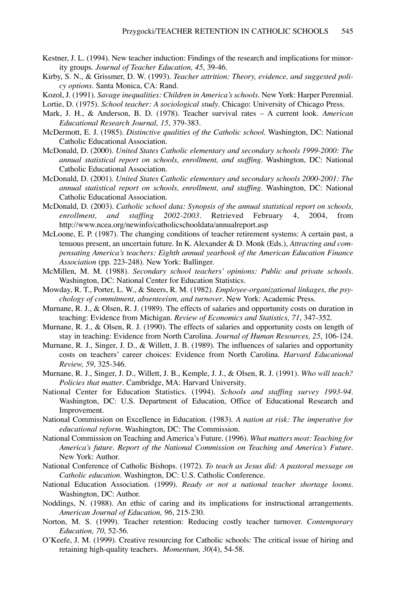- Kestner, J. L. (1994). New teacher induction: Findings of the research and implications for minority groups. *Journal of Teacher Education, 45*, 39-46.
- Kirby, S. N., & Grissmer, D. W. (1993). *Teacher attrition: Theory, evidence, and suggested policy options*. Santa Monica, CA: Rand.
- Kozol, J. (1991). *Savage inequalities: Children in America's schools*. New York: Harper Perennial. Lortie, D. (1975). *School teacher: A sociological study*. Chicago: University of Chicago Press.
- Mark, J. H., & Anderson, B. D. (1978). Teacher survival rates A current look. *American Educational Research Journal, 15*, 379-383.
- McDermott, E. J. (1985). *Distinctive qualities of the Catholic school*. Washington, DC: National Catholic Educational Association.
- McDonald, D. (2000). *United States Catholic elementary and secondary schools 1999-2000: The annual statistical report on schools, enrollment, and staffing*. Washington, DC: National Catholic Educational Association.
- McDonald, D. (2001). *United States Catholic elementary and secondary schools 2000-2001: The annual statistical report on schools, enrollment, and staffing*. Washington, DC: National Catholic Educational Association.
- McDonald, D. (2003). *Catholic school data: Synopsis of the annual statistical report on schools, enrollment, and staffing 2002-2003*. Retrieved February 4, 2004, from http://www.ncea.org/newinfo/catholicschooldata/annualreport.asp
- McLoone, E. P. (1987). The changing conditions of teacher retirement systems: A certain past, a tenuous present, an uncertain future. In K. Alexander & D. Monk (Eds.), *Attracting and compensating America's teachers: Eighth annual yearbook of the American Education Finance Association* (pp. 223-248). New York: Ballinger.
- McMillen, M. M. (1988). *Secondary school teachers' opinions: Public and private schools*. Washington, DC: National Center for Education Statistics.
- Mowday, R. T., Porter, L. W., & Steers, R. M. (1982). *Employee-organizational linkages, the psychology of commitment, absenteeism, and turnover*. New York: Academic Press.
- Murnane, R. J., & Olsen, R. J. (1989). The effects of salaries and opportunity costs on duration in teaching: Evidence from Michigan. *Review of Economics and Statistics, 71*, 347-352.
- Murnane, R. J., & Olsen, R. J. (1990). The effects of salaries and opportunity costs on length of stay in teaching: Evidence from North Carolina. *Journal of Human Resources, 25*, 106-124.
- Murnane, R. J., Singer, J. D., & Willett, J. B. (1989). The influences of salaries and opportunity costs on teachers' career choices: Evidence from North Carolina. *Harvard Educational Review, 59*, 325-346.
- Murnane, R. J., Singer, J. D., Willett, J. B., Kemple, J. J., & Olsen, R. J. (1991). *Who will teach? Policies that matter*. Cambridge, MA: Harvard University.
- National Center for Education Statistics. (1994). *Schools and staffing survey 1993-94*. Washington, DC: U.S. Department of Education, Office of Educational Research and Improvement.
- National Commission on Excellence in Education. (1983). *A nation at risk: The imperative for educational reform*. Washington, DC: The Commission.
- National Commission on Teaching and America's Future. (1996). *What matters most: Teaching for America's future. Report of the National Commission on Teaching and America's Future*. New York: Author.
- National Conference of Catholic Bishops. (1972). *To teach as Jesus did: A pastoral message on Catholic education*. Washington, DC: U.S. Catholic Conference.
- National Education Association. (1999). *Ready or not a national teacher shortage looms*. Washington, DC: Author.
- Noddings, N. (1988). An ethic of caring and its implications for instructional arrangements. *American Journal of Education, 96*, 215-230.
- Norton, M. S. (1999). Teacher retention: Reducing costly teacher turnover. *Contemporary Education, 70*, 52-56.
- O'Keefe, J. M. (1999). Creative resourcing for Catholic schools: The critical issue of hiring and retaining high-quality teachers. *Momentum, 30*(4), 54-58.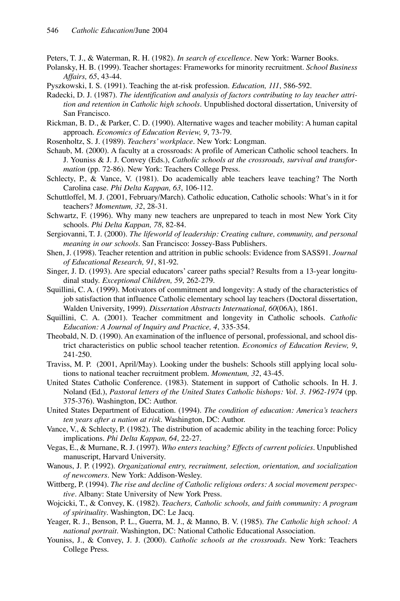Peters, T. J., & Waterman, R. H. (1982). *In search of excellence*. New York: Warner Books.

Polansky, H. B. (1999). Teacher shortages: Frameworks for minority recruitment. *School Business Affairs, 65*, 43-44.

- Pyszkowski, I. S. (1991). Teaching the at-risk profession. *Education, 111*, 586-592.
- Radecki, D. J. (1987). *The identification and analysis of factors contributing to lay teacher attrition and retention in Catholic high schools*. Unpublished doctoral dissertation, University of San Francisco.
- Rickman, B. D., & Parker, C. D. (1990). Alternative wages and teacher mobility: A human capital approach. *Economics of Education Review, 9*, 73-79.
- Rosenholtz, S. J. (1989). *Teachers' workplace*. New York: Longman.
- Schaub, M. (2000). A faculty at a crossroads: A profile of American Catholic school teachers. In J. Youniss & J. J. Convey (Eds.), *Catholic schools at the crossroads, survival and transformation* (pp. 72-86). New York: Teachers College Press.
- Schlecty, P., & Vance, V. (1981). Do academically able teachers leave teaching? The North Carolina case. *Phi Delta Kappan, 63*, 106-112.
- Schuttloffel, M. J. (2001, February/March). Catholic education, Catholic schools: What's in it for teachers? *Momentum, 32*, 28-31.
- Schwartz, F. (1996). Why many new teachers are unprepared to teach in most New York City schools. *Phi Delta Kappan, 78*, 82-84.
- Sergiovanni, T. J. (2000). *The lifeworld of leadership: Creating culture, community, and personal meaning in our schools*. San Francisco: Jossey-Bass Publishers.
- Shen, J. (1998). Teacher retention and attrition in public schools: Evidence from SASS91. *Journal of Educational Research, 91*, 81-92.
- Singer, J. D. (1993). Are special educators' career paths special? Results from a 13-year longitudinal study. *Exceptional Children, 59*, 262-279.
- Squillini, C. A. (1999). Motivators of commitment and longevity: A study of the characteristics of job satisfaction that influence Catholic elementary school lay teachers (Doctoral dissertation, Walden University, 1999). *Dissertation Abstracts International, 60*(06A), 1861.
- Squillini, C. A. (2001). Teacher commitment and longevity in Catholic schools. *Catholic Education: A Journal of Inquiry and Practice, 4*, 335-354.
- Theobald, N. D. (1990). An examination of the influence of personal, professional, and school district characteristics on public school teacher retention. *Economics of Education Review, 9*, 241-250.
- Traviss, M. P. (2001, April/May). Looking under the bushels: Schools still applying local solutions to national teacher recruitment problem. *Momentum, 32*, 43-45.
- United States Catholic Conference. (1983). Statement in support of Catholic schools. In H. J. Noland (Ed.), *Pastoral letters of the United States Catholic bishops: Vol. 3. 1962-1974* (pp. 375-376). Washington, DC: Author.
- United States Department of Education. (1994). *The condition of education: America's teachers ten years after a nation at risk*. Washington, DC: Author.
- Vance, V., & Schlecty, P. (1982). The distribution of academic ability in the teaching force: Policy implications. *Phi Delta Kappan, 64*, 22-27.
- Vegas, E., & Murnane, R. J. (1997). *Who enters teaching? Effects of current policies*. Unpublished manuscript, Harvard University.
- Wanous, J. P. (1992). *Organizational entry, recruitment, selection, orientation, and socialization of newcomers*. New York: Addison-Wesley.
- Wittberg, P. (1994). *The rise and decline of Catholic religious orders: A social movement perspective*. Albany: State University of New York Press.
- Wojcicki, T., & Convey, K. (1982). *Teachers, Catholic schools, and faith community: A program of spirituality*. Washington, DC: Le Jacq.
- Yeager, R. J., Benson, P. L., Guerra, M. J., & Manno, B. V. (1985). *The Catholic high school: A national portrait*. Washington, DC: National Catholic Educational Association.
- Youniss, J., & Convey, J. J. (2000). *Catholic schools at the crossroads*. New York: Teachers College Press.